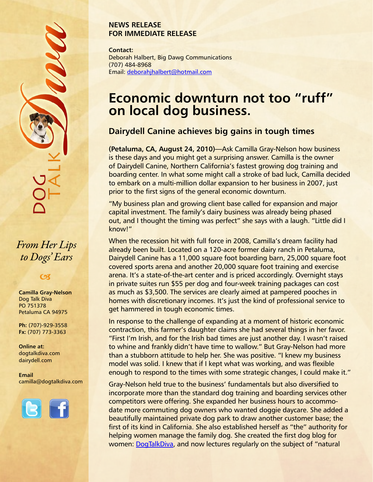#### **NEWS RELEASE FOR IMMEDIATE RELEASE**

**Contact:** Deborah Halbert, Big Dawg Communications (707) 484-8968 Email: [deborahjhalbert@hotmail.com](mailto:deborahjhalbert@hotmail.com)

# **Economic downturn not too "ruff" on local dog business.**

## **Dairydell Canine achieves big gains in tough times**

**(Petaluma, CA, August 24, 2010)—**Ask Camilla Gray-Nelson how business is these days and you might get a surprising answer. Camilla is the owner of Dairydell Canine, Northern California's fastest growing dog training and boarding center. In what some might call a stroke of bad luck, Camilla decided to embark on a multi-million dollar expansion to her business in 2007, just prior to the first signs of the general economic downturn.

"My business plan and growing client base called for expansion and major capital investment. The family's dairy business was already being phased out, and I thought the timing was perfect" she says with a laugh. "Little did I know!"

When the recession hit with full force in 2008, Camilla's dream facility had already been built. Located on a 120-acre former dairy ranch in Petaluma, Dairydell Canine has a 11,000 square foot boarding barn, 25,000 square foot covered sports arena and another 20,000 square foot training and exercise arena. It's a state-of-the-art center and is priced accordingly. Overnight stays in private suites run \$55 per dog and four-week training packages can cost as much as \$3,500. The services are clearly aimed at pampered pooches in homes with discretionary incomes. It's just the kind of professional service to get hammered in tough economic times.

In response to the challenge of expanding at a moment of historic economic contraction, this farmer's daughter claims she had several things in her favor. "First I'm Irish, and for the Irish bad times are just another day. I wasn't raised to whine and frankly didn't have time to wallow." But Gray-Nelson had more than a stubborn attitude to help her. She was positive. "I knew my business model was solid. I knew that if I kept what was working, and was flexible enough to respond to the times with some strategic changes, I could make it."

Gray-Nelson held true to the business' fundamentals but also diversified to incorporate more than the standard dog training and boarding services other competitors were offering. She expanded her business hours to accommodate more commuting dog owners who wanted doggie daycare. She added a beautifully maintained private dog park to draw another customer base; the first of its kind in California. She also established herself as "the" authority for helping women manage the family dog. She created the first dog blog for women: [DogTalkDiva](http://www.dogtalkdiva.com), and now lectures regularly on the subject of "natural

*From Her Lips to Dogs' Ears*

### $\boldsymbol{\alpha}$

**Camilla Gray-Nelson** Dog Talk Diva PO 751378 Petaluma CA 94975

**Ph:** (707)-929-3558 **Fx:** (707) 773-3363

**Online at:** [dogtalkdiva.com](http://www.dogtalkdiva.com) [dairydell.com](http://www.dairydell.com)

**Email** [camilla@dogtalkdiva.com](mailto:camilla@dogtalkdiva.com)